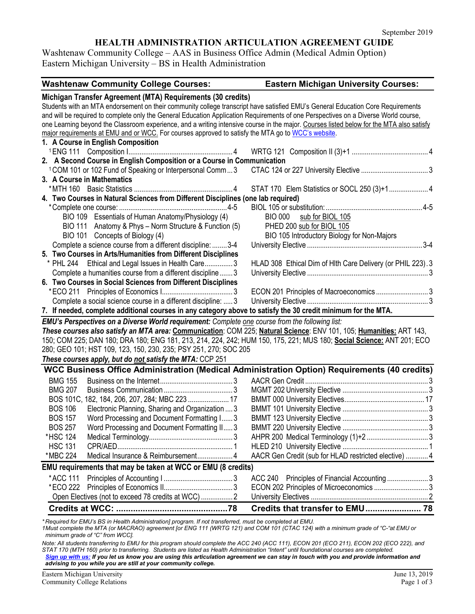# **HEALTH ADMINISTRATION ARTICULATION AGREEMENT GUIDE**

Washtenaw Community College – AAS in Business Office Admin (Medical Admin Option) Eastern Michigan University – BS in Health Administration

| <b>Washtenaw Community College Courses:</b>                                                                                                                   | <b>Eastern Michigan University Courses:</b>                                                                                              |
|---------------------------------------------------------------------------------------------------------------------------------------------------------------|------------------------------------------------------------------------------------------------------------------------------------------|
| Michigan Transfer Agreement (MTA) Requirements (30 credits)                                                                                                   |                                                                                                                                          |
| Students with an MTA endorsement on their community college transcript have satisfied EMU's General Education Core Requirements                               |                                                                                                                                          |
| and will be required to complete only the General Education Application Requirements of one Perspectives on a Diverse World course,                           |                                                                                                                                          |
|                                                                                                                                                               | one Learning beyond the Classroom experience, and a writing intensive course in the major. Courses listed below for the MTA also satisfy |
| major requirements at EMU and or WCC. For courses approved to satisfy the MTA go to WCC's website.                                                            |                                                                                                                                          |
| 1. A Course in English Composition                                                                                                                            |                                                                                                                                          |
|                                                                                                                                                               |                                                                                                                                          |
| 2. A Second Course in English Composition or a Course in Communication                                                                                        |                                                                                                                                          |
| <sup>1</sup> COM 101 or 102 Fund of Speaking or Interpersonal Comm3                                                                                           |                                                                                                                                          |
| 3. A Course in Mathematics                                                                                                                                    |                                                                                                                                          |
|                                                                                                                                                               |                                                                                                                                          |
| 4. Two Courses in Natural Sciences from Different Disciplines (one lab required)                                                                              |                                                                                                                                          |
|                                                                                                                                                               |                                                                                                                                          |
| BIO 109 Essentials of Human Anatomy/Physiology (4)                                                                                                            | <b>BIO 000</b><br>sub for BIOL 105                                                                                                       |
| BIO 111 Anatomy & Phys - Norm Structure & Function (5)                                                                                                        | PHED 200 sub for BIOL 105                                                                                                                |
| BIO 101 Concepts of Biology (4)                                                                                                                               | BIO 105 Introductory Biology for Non-Majors                                                                                              |
| Complete a science course from a different discipline: 3-4                                                                                                    |                                                                                                                                          |
| 5. Two Courses in Arts/Humanities from Different Disciplines                                                                                                  |                                                                                                                                          |
| * PHL 244 Ethical and Legal Issues in Health Care3                                                                                                            | HLAD 308 Ethical Dim of HIth Care Delivery (or PHIL 223). 3                                                                              |
| Complete a humanities course from a different discipline3                                                                                                     |                                                                                                                                          |
| 6. Two Courses in Social Sciences from Different Disciplines                                                                                                  |                                                                                                                                          |
|                                                                                                                                                               |                                                                                                                                          |
| Complete a social science course in a different discipline:  3                                                                                                |                                                                                                                                          |
| 7. If needed, complete additional courses in any category above to satisfy the 30 credit minimum for the MTA.                                                 |                                                                                                                                          |
| <b>EMU's Perspectives on a Diverse World requirement:</b> Complete one course from the following list:                                                        |                                                                                                                                          |
|                                                                                                                                                               | These courses also satisfy an MTA area: Communication: COM 225; Natural Science: ENV 101, 105; Humanities: ART 143,                      |
|                                                                                                                                                               | 150; COM 225; DAN 180; DRA 180; ENG 181, 213, 214, 224, 242; HUM 150, 175, 221; MUS 180; Social Science: ANT 201; ECO                    |
| 280; GEO 101; HST 109, 123, 150, 230, 235; PSY 251, 270; SOC 205                                                                                              |                                                                                                                                          |
| These courses apply, but do not satisfy the MTA: CCP 251                                                                                                      |                                                                                                                                          |
|                                                                                                                                                               | WCC Business Office Administration (Medical Administration Option) Requirements (40 credits)                                             |
| <b>BMG 155</b>                                                                                                                                                |                                                                                                                                          |
| <b>BMG 207</b>                                                                                                                                                |                                                                                                                                          |
| BOS 101C, 182, 184, 206, 207, 284; MBC 223  17                                                                                                                |                                                                                                                                          |
| <b>BOS 106</b><br>Electronic Planning, Sharing and Organization  3                                                                                            |                                                                                                                                          |
| Word Processing and Document Formatting I 3<br><b>BOS 157</b>                                                                                                 |                                                                                                                                          |
| <b>BOS 257</b><br>Word Processing and Document Formatting II 3                                                                                                |                                                                                                                                          |
| *HSC 124                                                                                                                                                      |                                                                                                                                          |
| <b>HSC 131</b>                                                                                                                                                |                                                                                                                                          |
| Medical Insurance & Reimbursement 4<br>*MBC 224                                                                                                               | AACR Gen Credit (sub for HLAD restricted elective)  4                                                                                    |
|                                                                                                                                                               |                                                                                                                                          |
| EMU requirements that may be taken at WCC or EMU (8 credits)                                                                                                  |                                                                                                                                          |
| *ACC 111                                                                                                                                                      | Principles of Financial Accounting3<br>ACC 240                                                                                           |
| *ECO 222                                                                                                                                                      | ECON 202 Principles of Microeconomics  3                                                                                                 |
| Open Electives (not to exceed 78 credits at WCC)  2                                                                                                           |                                                                                                                                          |
|                                                                                                                                                               |                                                                                                                                          |
| $\frac{1}{2}$ . The FM B $\geq$ $\frac{1}{2}$ of $\frac{1}{2}$ of $\frac{1}{2}$ decision interferent concerns the state form of course is a completed of FM B |                                                                                                                                          |

*\* Required for EMU's BS in Health Administration] program. If not transferred, must be completed at EMU. 1Must complete the MTA (or MACRAO) agreement [or ENG 111 (WRTG 121) and COM 101 (CTAC 124) with a minimum grade of "C-"at EMU or minimum grade of "C" from WCC].*

*Note: All students transferring to EMU for this program should complete the ACC 240 (ACC 111), ECON 201 (ECO 211), ECON 202 (ECO 222), and STAT 170 (MTH 160) prior to transferring. Students are listed as Health Administration "Intent" until foundational courses are completed. [Sign up with us:](https://www.emich.edu/ccr/articulation-agreements/signup.php) If you let us know you are using this articulation agreement we can stay in touch with you and provide information and advising to you while you are still at your community college.*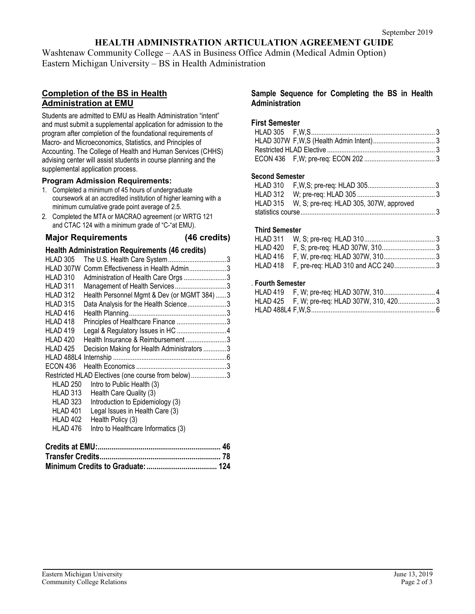# **HEALTH ADMINISTRATION ARTICULATION AGREEMENT GUIDE**

Washtenaw Community College – AAS in Business Office Admin (Medical Admin Option) Eastern Michigan University – BS in Health Administration

# **Completion of the BS in Health Administration at EMU**

Students are admitted to EMU as Health Administration "intent" and must submit a supplemental application for admission to the program after completion of the foundational requirements of Macro- and Microeconomics, Statistics, and Principles of Accounting. The College of Health and Human Services (CHHS) advising center will assist students in course planning and the supplemental application process.

### **Program Admission Requirements:**

- 1. Completed a minimum of 45 hours of undergraduate coursework at an accredited institution of higher learning with a minimum cumulative grade point average of 2.5.
- 2. Completed the MTA or MACRAO agreement (or WRTG 121 and CTAC 124 with a minimum grade of "C-"at EMU).

**Major Requirements (46 credits)**

## **Health Administration Requirements (46 credits)**

| HLAD 305        |                                                    |  |
|-----------------|----------------------------------------------------|--|
| HLAD 307W       | Comm Effectiveness in Health Admin3                |  |
| HLAD 310        | Administration of Health Care Orgs 3               |  |
| HLAD 311        | Management of Health Services3                     |  |
| HLAD 312        | Health Personnel Mgmt & Dev (or MGMT 384) 3        |  |
| HLAD 315        | Data Analysis for the Health Science3              |  |
| HLAD 416        |                                                    |  |
| HLAD 418        | Principles of Healthcare Finance 3                 |  |
| HLAD 419        |                                                    |  |
| HLAD 420        | Health Insurance & Reimbursement3                  |  |
| HLAD 425        | Decision Making for Health Administrators 3        |  |
|                 |                                                    |  |
| ECON 436        |                                                    |  |
|                 | Restricted HLAD Electives (one course from below)3 |  |
| <b>HLAD 250</b> | Intro to Public Health (3)                         |  |
| HLAD 313        | Health Care Quality (3)                            |  |
| HLAD 323        | Introduction to Epidemiology (3)                   |  |
| HLAD 401        | Legal Issues in Health Care (3)                    |  |
| HLAD 402        | Health Policy (3)                                  |  |
| HLAD 476        | Intro to Healthcare Informatics (3)                |  |
|                 |                                                    |  |
|                 |                                                    |  |

#### **Sample Sequence for Completing the BS in Health Administration**

### **First Semester**

## **Second Semester**

| HLAD 315 W, S; pre-req: HLAD 305, 307W, approved |  |
|--------------------------------------------------|--|
|                                                  |  |

### **Third Semester**

## . **Fourth Semester**

| HLAD 425 F, W; pre-req: HLAD 307W, 310, 420 3 |  |
|-----------------------------------------------|--|
|                                               |  |